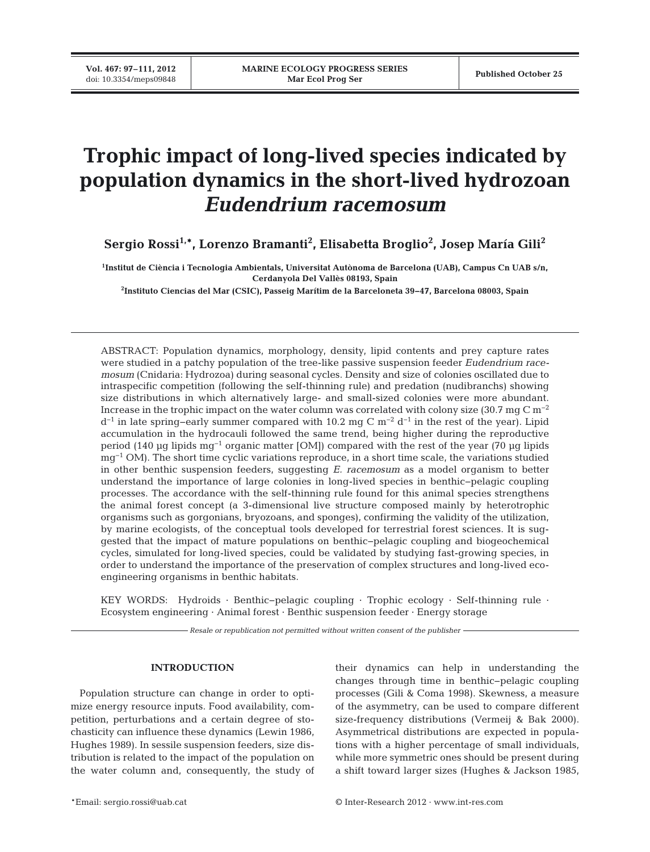**Vol. 467: 97–111, 2012**

# **Trophic impact of long-lived species indicated by population dynamics in the short-lived hydrozoan** *Eudendrium racemosum*

**Sergio Rossi1,\*, Lorenzo Bramanti2 , Elisabetta Broglio2 , Josep María Gili2**

**1 Institut de Ciència i Tecnologia Ambientals, Universitat Autònoma de Barcelona (UAB), Campus Cn UAB s/n, Cerdanyola Del Vallès 08193, Spain**

**2 Instituto Ciencias del Mar (CSIC), Passeig Marítim de la Barceloneta 39−47, Barcelona 08003, Spain**

ABSTRACT: Population dynamics, morphology, density, lipid contents and prey capture rates were studied in a patchy population of the tree-like passive suspension feeder *Eudendrium racemosum* (Cnidaria: Hydrozoa) during seasonal cycles. Density and size of colonies oscillated due to intraspecific competition (following the self-thinning rule) and predation (nudibranchs) showing size distributions in which alternatively large- and small-sized colonies were more abundant. Increase in the trophic impact on the water column was correlated with colony size (30.7 mg C  $\rm m^{-2}$ )  $d^{-1}$  in late spring–early summer compared with 10.2 mg C m<sup>-2</sup> d<sup>-1</sup> in the rest of the year). Lipid accumulation in the hydrocauli followed the same trend, being higher during the reproductive period (140 µg lipids mg−1 organic matter [OM]) compared with the rest of the year (70 µg lipids mg<sup>-1</sup> OM). The short time cyclic variations reproduce, in a short time scale, the variations studied in other benthic suspension feeders, suggesting *E. racemosum* as a model organism to better understand the importance of large colonies in long-lived species in benthic−pelagic coupling processes. The accordance with the self-thinning rule found for this animal species strengthens the animal forest concept (a 3-dimensional live structure composed mainly by heterotrophic organisms such as gorgonians, bryozoans, and sponges), confirming the validity of the utilization, by marine ecologists, of the conceptual tools developed for terrestrial forest sciences. It is suggested that the impact of mature populations on benthic−pelagic coupling and biogeochemical cycles, simulated for long-lived species, could be validated by studying fast-growing species, in order to understand the importance of the preservation of complex structures and long-lived eco engineering organisms in benthic habitats.

KEY WORDS: Hydroids · Benthic−pelagic coupling · Trophic ecology · Self-thinning rule · Ecosystem engineering · Animal forest · Benthic suspension feeder · Energy storage

*Resale or republication not permitted without written consent of the publisher*

# **INTRODUCTION**

Population structure can change in order to optimize energy resource inputs. Food availability, competition, perturbations and a certain degree of stochasticity can influence these dynamics (Lewin 1986, Hughes 1989). In sessile suspension feeders, size distribution is related to the impact of the population on the water column and, consequently, the study of their dynamics can help in understanding the changes through time in benthic−pelagic coupling processes (Gili & Coma 1998). Skewness, a measure of the asymmetry, can be used to compare different size-frequency distributions (Vermeij & Bak 2000). Asymmetrical distributions are expected in populations with a higher percentage of small individuals, while more symmetric ones should be present during a shift toward larger sizes (Hughes & Jackson 1985,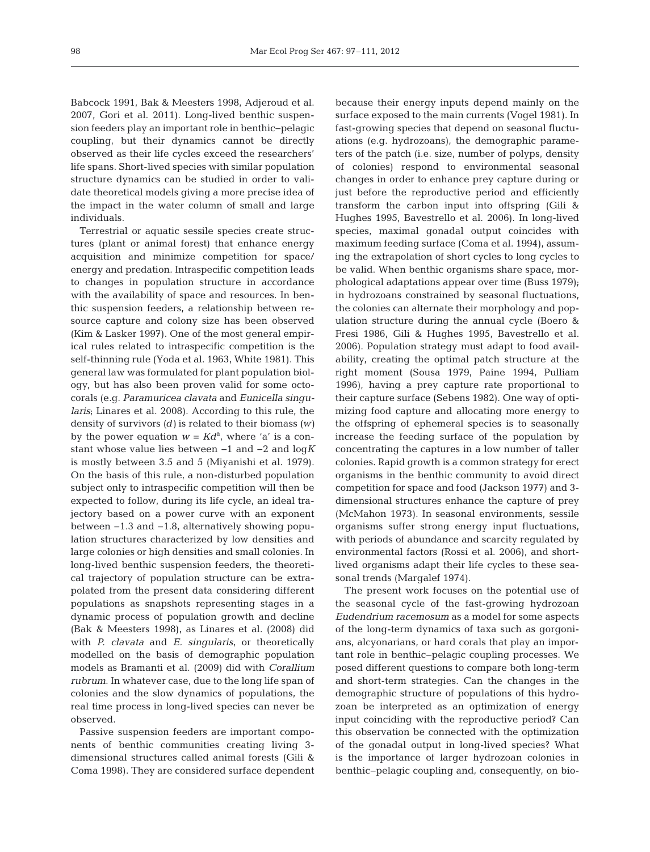Babcock 1991, Bak & Meesters 1998, Adjeroud et al. 2007, Gori et al. 2011). Long-lived benthic suspension feeders play an important role in benthic− pelagic coupling, but their dynamics cannot be directly observed as their life cycles exceed the researchers' life spans. Short-lived species with similar population structure dynamics can be studied in order to validate theoretical models giving a more precise idea of the impact in the water column of small and large individuals.

Terrestrial or aquatic sessile species create structures (plant or animal forest) that enhance energy acquisition and minimize competition for space/ energy and predation. Intraspecific competition leads to changes in population structure in accordance with the availability of space and resources. In benthic suspension feeders, a relationship between resource capture and colony size has been observed (Kim & Lasker 1997). One of the most general empirical rules related to intraspecific competition is the self-thinning rule (Yoda et al. 1963, White 1981). This general law was formulated for plant population biology, but has also been proven valid for some octocorals (e.g. *Paramuricea clavata* and *Eunicella singularis*; Linares et al. 2008). According to this rule, the density of survivors *(d)* is related to their biomass *(w)* by the power equation  $w = K d^a$ , where 'a' is a constant whose value lies between −1 and −2 and log*K* is mostly between 3.5 and 5 (Miyanishi et al. 1979). On the basis of this rule, a non-disturbed population subject only to intraspecific competition will then be expected to follow, during its life cycle, an ideal trajectory based on a power curve with an exponent between −1.3 and −1.8, alternatively showing population structures characterized by low densities and large colonies or high densities and small colonies. In long-lived benthic suspension feeders, the theoretical trajectory of population structure can be extrapolated from the present data considering different populations as snapshots representing stages in a dynamic process of population growth and decline (Bak & Meesters 1998), as Linares et al. (2008) did with *P. clavata* and *E. singularis*, or theoretically modelled on the basis of demographic population models as Bramanti et al. (2009) did with *Corallium rubrum*. In whatever case, due to the long life span of colonies and the slow dynamics of populations, the real time process in long-lived species can never be observed.

Passive suspension feeders are important components of benthic communities creating living 3 dimensional structures called animal forests (Gili & Coma 1998). They are considered surface dependent because their energy inputs depend mainly on the surface exposed to the main currents (Vogel 1981). In fast-growing species that depend on seasonal fluctuations (e.g. hydrozoans), the demographic parameters of the patch (i.e. size, number of polyps, density of colonies) respond to environmental seasonal changes in order to enhance prey capture during or just before the reproductive period and efficiently transform the carbon input into offspring (Gili & Hughes 1995, Bavestrello et al. 2006). In long-lived species, maximal gonadal output coincides with maximum feeding surface (Coma et al. 1994), assuming the extrapolation of short cycles to long cycles to be valid. When benthic organisms share space, morphological adaptations appear over time (Buss 1979); in hydrozoans constrained by seasonal fluctuations, the colonies can alternate their morphology and population structure during the annual cycle (Boero & Fresi 1986, Gili & Hughes 1995, Bavestrello et al. 2006). Population strategy must adapt to food availability, creating the optimal patch structure at the right moment (Sousa 1979, Paine 1994, Pulliam 1996), having a prey capture rate proportional to their capture surface (Sebens 1982). One way of optimizing food capture and allocating more energy to the offspring of ephemeral species is to seasonally increase the feeding surface of the population by concentrating the captures in a low number of taller colonies. Rapid growth is a common strategy for erect organisms in the benthic community to avoid direct competition for space and food (Jackson 1977) and 3 dimensional structures enhance the capture of prey (McMahon 1973). In seasonal environments, sessile organisms suffer strong energy input fluctuations, with periods of abundance and scarcity regulated by environmental factors (Rossi et al. 2006), and shortlived organisms adapt their life cycles to these seasonal trends (Margalef 1974).

The present work focuses on the potential use of the seasonal cycle of the fast-growing hydrozoan *Eudendrium racemosum* as a model for some aspects of the long-term dynamics of taxa such as gorgonians, alcyonarians, or hard corals that play an important role in benthic−pelagic coupling processes. We posed different questions to compare both long-term and short-term strategies. Can the changes in the demographic structure of populations of this hydrozoan be interpreted as an optimization of energy input coinciding with the reproductive period? Can this observation be connected with the optimization of the gonadal output in long-lived species? What is the importance of larger hydrozoan colonies in benthic−pelagic coupling and, consequently, on bio -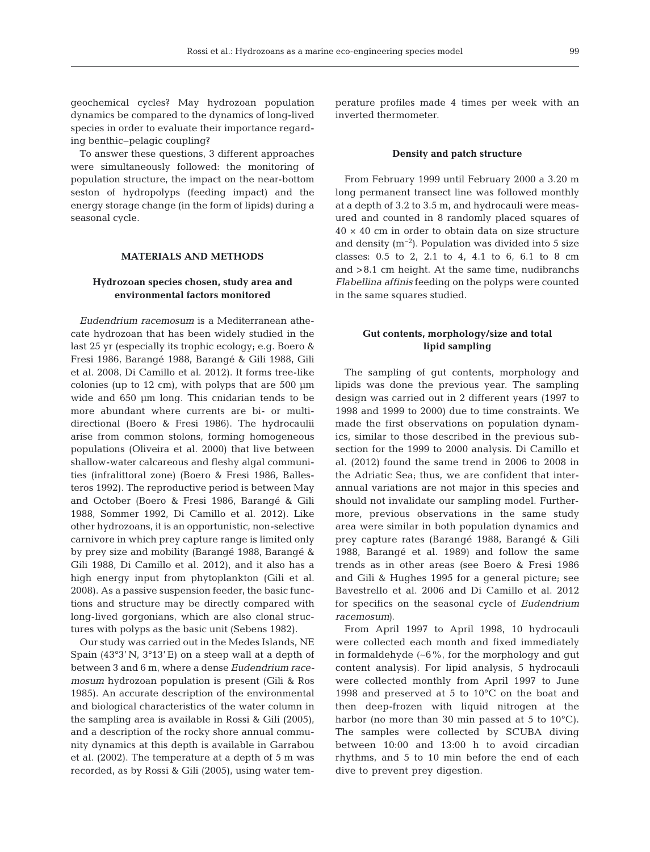geochemical cycles? May hydrozoan population dyna mics be compared to the dynamics of long-lived species in order to evaluate their importance regarding benthic−pelagic coupling?

To answer these questions, 3 different approaches were simultaneously followed: the monitoring of population structure, the impact on the near-bottom seston of hydropolyps (feeding impact) and the energy storage change (in the form of lipids) during a seasonal cycle.

## **MATERIALS AND METHODS**

# **Hydrozoan species chosen, study area and environmental factors monitored**

*Eudendrium racemosum* is a Mediterranean athecate hydrozoan that has been widely studied in the last 25 yr (especially its trophic ecology; e.g. Boero & Fresi 1986, Barangé 1988, Barangé & Gili 1988, Gili et al. 2008, Di Camillo et al. 2012). It forms tree-like colonies (up to 12 cm), with polyps that are 500 µm wide and 650 µm long. This cnidarian tends to be more abundant where currents are bi- or multidirectional (Boero & Fresi 1986). The hydrocaulii arise from common stolons, forming homogeneous populations (Oliveira et al. 2000) that live between shallow-water calcareous and fleshy algal communities (infralittoral zone) (Boero & Fresi 1986, Ballesteros 1992). The reproductive period is between May and October (Boero & Fresi 1986, Barangé & Gili 1988, Sommer 1992, Di Camillo et al. 2012). Like other hydrozoans, it is an opportunistic, non-selective carnivore in which prey capture range is limited only by prey size and mobility (Barangé 1988, Barangé & Gili 1988, Di Camillo et al. 2012), and it also has a high energy input from phytoplankton (Gili et al. 2008). As a passive suspension feeder, the basic functions and structure may be directly compared with long-lived gorgonians, which are also clonal structures with polyps as the basic unit (Sebens 1982).

Our study was carried out in the Medes Islands, NE Spain (43°3' N, 3°13' E) on a steep wall at a depth of between 3 and 6 m, where a dense *Eudendrium racemosum* hydrozoan population is present (Gili & Ros 1985). An accurate description of the environmental and biological characteristics of the water column in the sampling area is available in Rossi & Gili (2005), and a description of the rocky shore annual community dynamics at this depth is available in Garrabou et al. (2002). The temperature at a depth of 5 m was recorded, as by Rossi & Gili (2005), using water tem-

perature profiles made 4 times per week with an inverted thermometer.

#### **Density and patch structure**

From February 1999 until February 2000 a 3.20 m long permanent transect line was followed monthly at a depth of 3.2 to 3.5 m, and hydrocauli were measured and counted in 8 randomly placed squares of  $40 \times 40$  cm in order to obtain data on size structure and density  $(m^{-2})$ . Population was divided into 5 size classes: 0.5 to 2, 2.1 to 4, 4.1 to 6, 6.1 to 8 cm and >8.1 cm height. At the same time, nudibranchs *Flabellina affinis* feeding on the polyps were counted in the same squares studied.

# **Gut contents, morphology/size and total lipid sampling**

The sampling of gut contents, morphology and lipids was done the previous year. The sampling design was carried out in 2 different years (1997 to 1998 and 1999 to 2000) due to time constraints. We made the first observations on population dynamics, similar to those described in the previous subsection for the 1999 to 2000 analysis. Di Camillo et al. (2012) found the same trend in 2006 to 2008 in the Adriatic Sea; thus, we are confident that interannual variations are not major in this species and should not invalidate our sampling model. Furthermore, previous observations in the same study area were similar in both population dynamics and prey capture rates (Barangé 1988, Barangé & Gili 1988, Barangé et al. 1989) and follow the same trends as in other areas (see Boero & Fresi 1986 and Gili & Hughes 1995 for a general picture; see Bavestrello et al. 2006 and Di Camillo et al. 2012 for specifics on the seasonal cycle of *Eudendrium racemosum)*.

From April 1997 to April 1998, 10 hydrocauli were collected each month and fixed immediately in formaldehyde (∼6%, for the morphology and gut content analysis). For lipid analysis, 5 hydrocauli were collected monthly from April 1997 to June 1998 and preserved at 5 to 10°C on the boat and then deep-frozen with liquid nitrogen at the harbor (no more than 30 min passed at 5 to 10°C). The samples were collected by SCUBA diving between 10:00 and 13:00 h to avoid circadian rhythms, and 5 to 10 min before the end of each dive to prevent prey digestion.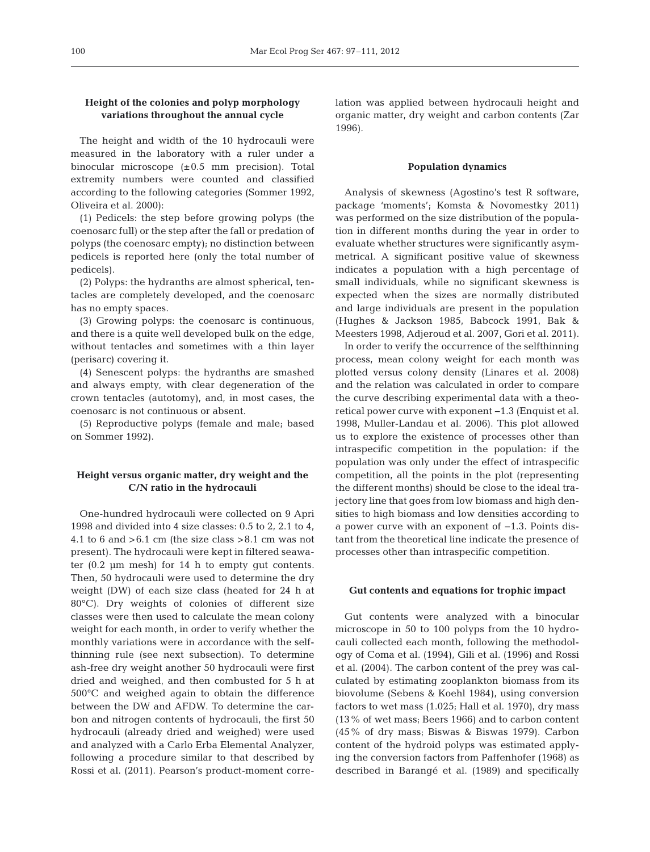# **Height of the colonies and polyp morphology variations throughout the annual cycle**

The height and width of the 10 hydrocauli were measured in the laboratory with a ruler under a binocular microscope  $(\pm 0.5 \text{ mm} \text{ precision})$ . Total extremity numbers were counted and classified according to the following categories (Sommer 1992, Oliveira et al. 2000):

(1) Pedicels: the step before growing polyps (the coenosarc full) or the step after the fall or predation of polyps (the coenosarc empty); no distinction between pedicels is reported here (only the total number of pedicels).

(2) Polyps: the hydranths are almost spherical, tentacles are completely developed, and the coenosarc has no empty spaces.

(3) Growing polyps: the coenosarc is continuous, and there is a quite well developed bulk on the edge, without tentacles and sometimes with a thin layer (perisarc) covering it.

(4) Senescent polyps: the hydranths are smashed and always empty, with clear degeneration of the crown tentacles (autotomy), and, in most cases, the coenosarc is not continuous or absent.

(5) Reproductive polyps (female and male; based on Sommer 1992).

# **Height versus organic matter, dry weight and the C/N ratio in the hydrocauli**

One-hundred hydrocauli were collected on 9 Apri 1998 and divided into 4 size classes: 0.5 to 2, 2.1 to 4, 4.1 to 6 and  $>6.1$  cm (the size class  $>8.1$  cm was not present). The hydrocauli were kept in filtered seawater (0.2 µm mesh) for 14 h to empty gut contents. Then, 50 hydrocauli were used to determine the dry weight (DW) of each size class (heated for 24 h at 80°C). Dry weights of colonies of different size classes were then used to calculate the mean colony weight for each month, in order to verify whether the monthly variations were in accordance with the selfthinning rule (see next subsection). To determine ash-free dry weight another 50 hydrocauli were first dried and weighed, and then combusted for 5 h at 500°C and weighed again to obtain the difference between the DW and AFDW. To determine the carbon and nitrogen contents of hydrocauli, the first 50 hydrocauli (already dried and weighed) were used and analyzed with a Carlo Erba Elemental Analyzer, following a procedure similar to that described by Rossi et al. (2011). Pearson's product-moment correlation was applied between hydrocauli height and organic matter, dry weight and carbon contents (Zar 1996).

## **Population dynamics**

Analysis of skewness (Agostino's test R software, package 'moments'; Komsta & Novomestky 2011) was performed on the size distribution of the population in different months during the year in order to evaluate whether structures were significantly asymmetrical. A significant positive value of skewness indicates a population with a high percentage of small individuals, while no significant skewness is expected when the sizes are normally distributed and large individuals are present in the population (Hughes & Jackson 1985, Babcock 1991, Bak & Meesters 1998, Adjeroud et al. 2007, Gori et al. 2011).

In order to verify the occurrence of the selfthinning process, mean colony weight for each month was plotted versus colony density (Linares et al. 2008) and the relation was calculated in order to compare the curve describing experimental data with a theoretical power curve with exponent −1.3 (Enquist et al. 1998, Muller-Landau et al. 2006). This plot allowed us to explore the existence of processes other than intraspecific competition in the population: if the population was only under the effect of intraspecific competition, all the points in the plot (representing the different months) should be close to the ideal trajectory line that goes from low biomass and high densities to high biomass and low densities according to a power curve with an exponent of −1.3. Points distant from the theoretical line indicate the presence of processes other than intraspecific competition.

## **Gut contents and equations for trophic impact**

Gut contents were analyzed with a binocular microscope in 50 to 100 polyps from the 10 hydrocauli collected each month, following the methodology of Coma et al. (1994), Gili et al. (1996) and Rossi et al. (2004). The carbon content of the prey was calculated by estimating zooplankton biomass from its biovolume (Sebens & Koehl 1984), using conversion factors to wet mass (1.025; Hall et al. 1970), dry mass (13% of wet mass; Beers 1966) and to carbon content (45% of dry mass; Biswas & Biswas 1979). Carbon content of the hydroid polyps was estimated applying the conversion factors from Paffenhofer (1968) as described in Barangé et al. (1989) and specifically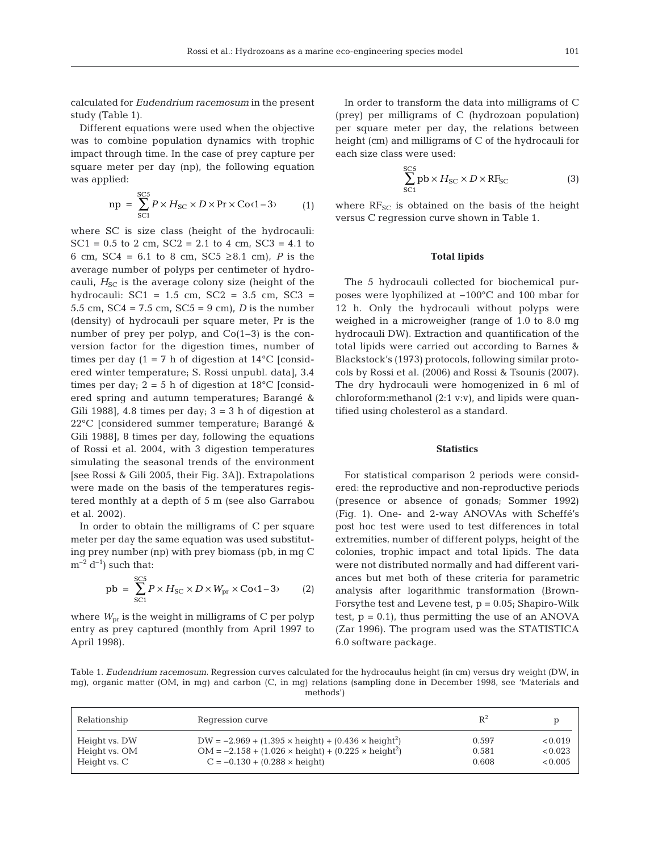calculated for *Eudendrium racemosum* in the present study (Table 1).

Different equations were used when the objective was to combine population dynamics with trophic impact through time. In the case of prey capture per square meter per day (np), the following equation was applied:

$$
np = \sum_{SCI}^{SCS} P \times H_{SC} \times D \times Pr \times Co(1-3)
$$
 (1)

where SC is size class (height of the hydrocauli: SC1 =  $0.5$  to 2 cm, SC2 =  $2.1$  to 4 cm, SC3 =  $4.1$  to 6 cm, SC4 =  $6.1$  to 8 cm, SC5 ≥8.1 cm), *P* is the average number of polyps per centimeter of hydrocauli,  $H_{SC}$  is the average colony size (height of the hydrocauli:  $SC1 = 1.5$  cm,  $SC2 = 3.5$  cm,  $SC3 =$ 5.5 cm, SC4 = 7.5 cm, SC5 = 9 cm), *D* is the number (density) of hydrocauli per square meter, Pr is the number of prey per polyp, and Co(1−3) is the conversion factor for the digestion times, number of times per day  $(1 = 7 h)$  of digestion at 14<sup>o</sup>C [considered winter temperature; S. Rossi unpubl. data], 3.4 times per day;  $2 = 5$  h of digestion at  $18^{\circ}$ C [considered spring and autumn temperatures; Barangé & Gili 1988], 4.8 times per day;  $3 = 3$  h of digestion at 22°C [considered summer temperature; Barangé & Gili 1988], 8 times per day, following the equations of Rossi et al. 2004, with 3 digestion temperatures simulating the seasonal trends of the environment [see Rossi & Gili 2005, their Fig. 3A]). Extrapolations were made on the basis of the temperatures registered monthly at a depth of 5 m (see also Garrabou et al. 2002).

In order to obtain the milligrams of C per square meter per day the same equation was used substituting prey number (np) with prey biomass (pb, in mg C  $m^{-2}$  d<sup>-1</sup>) such that:

$$
pb = \sum_{\text{SC1}}^{SCS} P \times H_{\text{SC}} \times D \times W_{\text{pr}} \times \text{Co}(1-3)
$$
 (2)

where  $W_{\text{pr}}$  is the weight in milligrams of C per polyp entry as prey captured (monthly from April 1997 to April 1998).

In order to transform the data into milligrams of C (prey) per milligrams of C (hydrozoan population) per square meter per day, the relations between height (cm) and milligrams of C of the hydrocauli for each size class were used:

$$
\sum_{\text{SC1}}^{\text{SC5}} \text{pb} \times H_{\text{SC}} \times D \times \text{RF}_{\text{SC}} \tag{3}
$$

where  $RF_{SC}$  is obtained on the basis of the height versus C regression curve shown in Table 1.

## **Total lipids**

The 5 hydrocauli collected for biochemical purposes were lyophilized at −100°C and 100 mbar for 12 h. Only the hydrocauli without polyps were weighed in a microweigher (range of 1.0 to 8.0 mg hydrocauli DW). Extraction and quantification of the total lipids were carried out according to Barnes & Blackstock's (1973) protocols, following similar protocols by Rossi et al. (2006) and Rossi & Tsounis (2007). The dry hydrocauli were homogenized in 6 ml of chloroform:methanol (2:1 v:v), and lipids were quantified using cholesterol as a standard.

## **Statistics**

For statistical comparison 2 periods were considered: the reproductive and non-reproductive periods (presence or absence of gonads; Sommer 1992) (Fig. 1). One- and 2-way ANOVAs with Scheffé's post hoc test were used to test differences in total extremities, number of different polyps, height of the colonies, trophic impact and total lipids. The data were not distributed normally and had different variances but met both of these criteria for parametric analysis after logarithmic transformation (Brown-Forsythe test and Levene test,  $p = 0.05$ ; Shapiro-Wilk test,  $p = 0.1$ , thus permitting the use of an ANOVA (Zar 1996). The program used was the STATISTICA 6.0 software package.

Table 1. *Eudendrium racemosum*. Regression curves calculated for the hydrocaulus height (in cm) versus dry weight (DW, in mg), organic matter (OM, in mg) and carbon (C, in mg) relations (sampling done in December 1998, see 'Materials and methods')

| Relationship  | Regression curve                                                              | $\mathbb{R}^2$ |         |
|---------------|-------------------------------------------------------------------------------|----------------|---------|
| Height vs. DW | DW = $-2.969 + (1.395 \times \text{height}) + (0.436 \times \text{height}^2)$ | 0.597          | < 0.019 |
| Height vs. OM | $OM = -2.158 + (1.026 \times height) + (0.225 \times height^2)$               | 0.581          | < 0.023 |
| Height vs. C  | $C = -0.130 + (0.288 \times \text{height})$                                   | 0.608          | < 0.005 |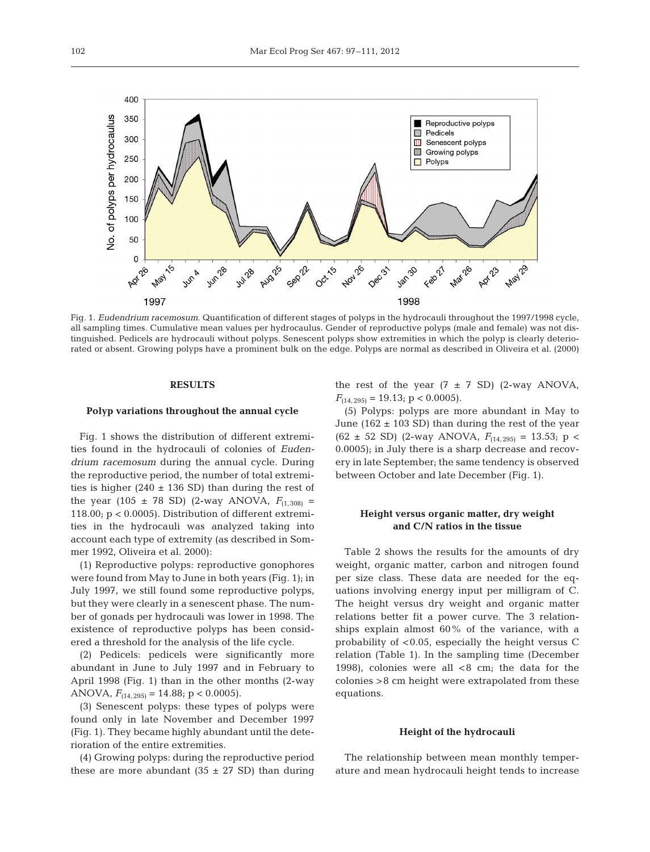

Fig. 1. *Eudendrium racemosum*. Quantification of different stages of polyps in the hydrocauli throughout the 1997/1998 cycle, all sampling times. Cumulative mean values per hydrocaulus. Gender of reproductive polyps (male and female) was not distinguished. Pedicels are hydrocauli without polyps. Senescent polyps show extremities in which the polyp is clearly deteriorated or absent. Growing polyps have a prominent bulk on the edge. Polyps are normal as described in Oliveira et al. (2000)

## **RESULTS**

#### **Polyp variations throughout the annual cycle**

Fig. 1 shows the distribution of different extremities found in the hydrocauli of colonies of *Eudendrium racemosum* during the annual cycle. During the reproductive period, the number of total extremities is higher (240  $\pm$  136 SD) than during the rest of the year (105  $\pm$  78 SD) (2-way ANOVA,  $F_{(1,308)}$  = 118.00; p < 0.0005). Distribution of different extremities in the hydrocauli was analyzed taking into account each type of extremity (as described in Sommer 1992, Oliveira et al. 2000):

(1) Reproductive polyps: reproductive gonophores were found from May to June in both years (Fig. 1); in July 1997, we still found some reproductive polyps, but they were clearly in a senescent phase. The number of gonads per hydrocauli was lower in 1998. The existence of reproductive polyps has been considered a threshold for the analysis of the life cycle.

(2) Pedicels: pedicels were significantly more abundant in June to July 1997 and in February to April 1998 (Fig. 1) than in the other months (2-way ANOVA,  $F_{(14,295)} = 14.88$ ; p < 0.0005).

(3) Senescent polyps: these types of polyps were found only in late November and December 1997 (Fig. 1). They became highly abundant until the deterioration of the entire extremities.

(4) Growing polyps: during the reproductive period these are more abundant  $(35 \pm 27 \text{ SD})$  than during the rest of the year  $(7 \pm 7 \text{ SD})$  (2-way ANOVA,  $F_{(14,295)} = 19.13$ ; p < 0.0005).

(5) Polyps: polyps are more abundant in May to June (162  $\pm$  103 SD) than during the rest of the year  $(62 \pm 52$  SD) (2-way ANOVA,  $F_{(14,295)} = 13.53$ ; p < 0.0005); in July there is a sharp decrease and recovery in late September; the same tendency is observed between October and late December (Fig. 1).

# **Height versus organic matter, dry weight and C/N ratios in the tissue**

Table 2 shows the results for the amounts of dry weight, organic matter, carbon and nitrogen found per size class. These data are needed for the eq uations involving energy input per milligram of C. The height versus dry weight and organic matter relations better fit a power curve. The 3 relationships explain almost 60% of the variance, with a probability of <0.05, especially the height versus C relation (Table 1). In the sampling time (December 1998), colonies were all  $<8$  cm; the data for the colonies >8 cm height were extrapolated from these equations.

#### **Height of the hydrocauli**

The relationship between mean monthly temperature and mean hydrocauli height tends to increase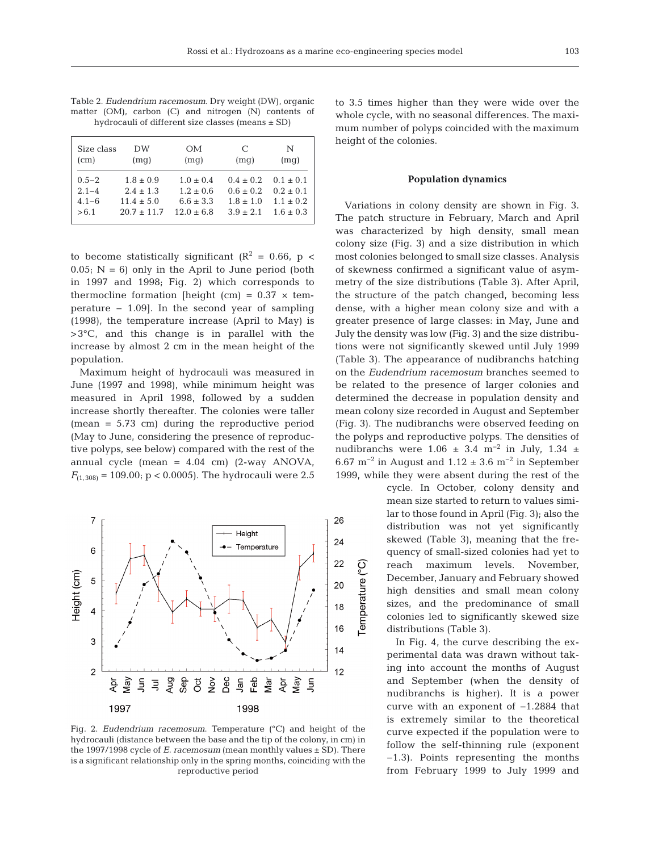103

|  |  | Table 2. <i>Eudendrium racemosum</i> . Dry weight (DW), organic |  |  |
|--|--|-----------------------------------------------------------------|--|--|
|  |  | matter $(OM)$ , carbon $(C)$ and nitrogen $(N)$ contents of     |  |  |
|  |  | hydrocauli of different size classes (means $\pm$ SD)           |  |  |

| Size class<br>(cm) | DW<br>(mq)    | <b>OM</b><br>(mq) | C<br>(mq)   | N<br>(mq)   |
|--------------------|---------------|-------------------|-------------|-------------|
| $0.5 - 2$          | $1.8 \pm 0.9$ | $1.0 + 0.4$       | $0.4 + 0.2$ | $0.1 + 0.1$ |
| $2.1 - 4$          | $2.4 + 1.3$   | $1.2 + 0.6$       | $0.6 + 0.2$ | $0.2 + 0.1$ |
| $4.1 - 6$          | $11.4 + 5.0$  | $6.6 + 3.3$       | $1.8 + 1.0$ | $1.1 + 0.2$ |
| > 6.1              | $20.7 + 11.7$ | $12.0 + 6.8$      | $3.9 + 2.1$ | $1.6 + 0.3$ |

to become statistically significant  $(R^2 = 0.66, p <$  $0.05$ ; N = 6) only in the April to June period (both in 1997 and 1998; Fig. 2) which corresponds to thermocline formation [height (cm) =  $0.37 \times$  temperature − 1.09]. In the second year of sampling (1998), the temperature increase (April to May) is >3°C, and this change is in parallel with the increase by almost 2 cm in the mean height of the population.

Maximum height of hydrocauli was measured in June (1997 and 1998), while minimum height was measured in April 1998, followed by a sudden increase shortly thereafter. The colonies were taller (mean = 5.73 cm) during the reproductive period (May to June, considering the presence of reproductive polyps, see below) compared with the rest of the annual cycle (mean =  $4.04$  cm) (2-way ANOVA,  $F_{(1,308)} = 109.00$ ; p < 0.0005). The hydrocauli were 2.5



Fig. 2. *Eudendrium racemosum*. Temperature (°C) and height of the hydrocauli (distance between the base and the tip of the colony, in cm) in the 1997/1998 cycle of *E. racemosum* (mean monthly values ± SD). There is a significant relationship only in the spring months, coinciding with the reproductive period

to 3.5 times higher than they were wide over the whole cycle, with no seasonal differences. The maximum number of polyps coincided with the maximum height of the colonies.

#### **Population dynamics**

Variations in colony density are shown in Fig. 3. The patch structure in February, March and April was characterized by high density, small mean colony size (Fig. 3) and a size distribution in which most colonies belonged to small size classes. Analysis of skewness confirmed a significant value of asymmetry of the size distributions (Table 3). After April, the structure of the patch changed, becoming less dense, with a higher mean colony size and with a greater presence of large classes: in May, June and July the density was low (Fig. 3) and the size distributions were not significantly skewed until July 1999 (Table 3). The appearance of nudibranchs hatching on the *Eudendrium racemosum* branches seemed to be related to the presence of larger colonies and determined the decrease in population density and mean colony size recorded in August and September (Fig. 3). The nudibranchs were observed feeding on the polyps and reproductive polyps. The densities of nudibranchs were  $1.06 \pm 3.4$  m<sup>-2</sup> in July,  $1.34 \pm$ 6.67 m<sup>-2</sup> in August and  $1.12 \pm 3.6$  m<sup>-2</sup> in September 1999, while they were absent during the rest of the

> cycle. In October, colony density and mean size started to return to values similar to those found in April (Fig. 3); also the distribution was not yet significantly skewed (Table 3), meaning that the frequency of small-sized colonies had yet to reach maximum levels. November, December, January and February showed high densities and small mean colony sizes, and the predominance of small colonies led to significantly skewed size distributions (Table 3).

> In Fig. 4, the curve describing the experimental data was drawn without taking into account the months of August and September (when the density of nudibranchs is higher). It is a power curve with an exponent of −1.2884 that is ex tremely similar to the theoretical curve expected if the population were to follow the self-thinning rule (exponent −1.3). Points representing the months from February 1999 to July 1999 and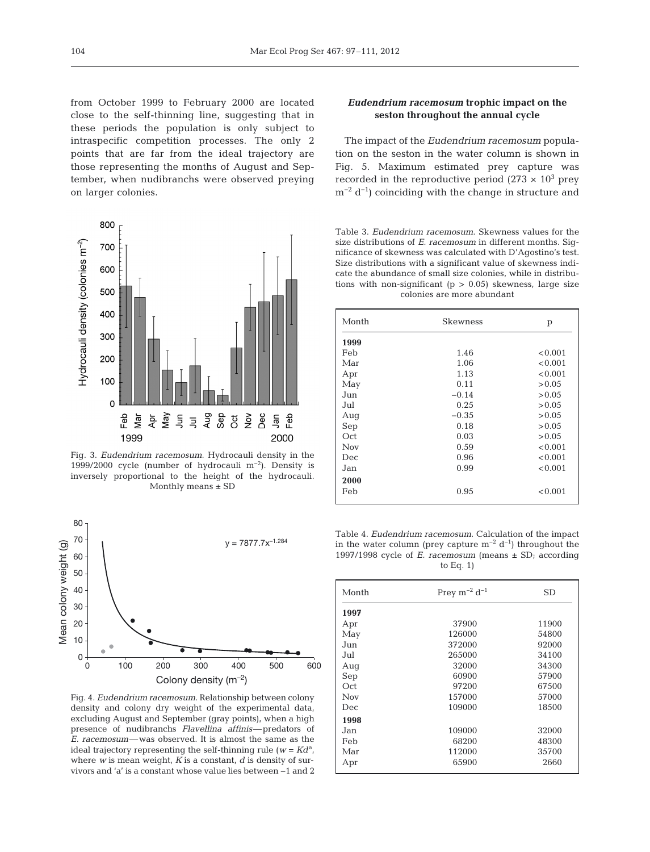from October 1999 to February 2000 are located close to the self-thinning line, suggesting that in these periods the population is only subject to intraspecific competition processes. The only 2 points that are far from the ideal trajectory are those representing the months of August and September, when nudibranchs were observed preying on larger colonies.



Fig. 3. *Eudendrium racemosum*. Hydrocauli density in the 1999/2000 cycle (number of hydrocauli m−2). Density is inversely proportional to the height of the hydrocauli. Monthly means  $\pm$  SD



Fig. 4. *Eudendrium racemosum*. Relationship between colony density and colony dry weight of the experimental data, excluding August and September (gray points), when a high presence of nudibranchs *Flavellina affinis*—predators of *E. racemosum*—was observed. It is almost the same as the ideal trajectory representing the self-thinning rule ( $w = K d<sup>a</sup>$ , where *w* is mean weight, *K* is a constant, *d* is density of survivors and 'a' is a constant whose value lies between −1 and 2

# *Eudendrium racemosum* **trophic impact on the seston throughout the annual cycle**

The impact of the *Eudendrium racemosum* population on the seston in the water column is shown in Fig. 5. Maximum estimated prey capture was recorded in the reproductive period (273  $\times$  10<sup>3</sup> prey  $m^{-2} d^{-1}$ ) coinciding with the change in structure and

Table 3. *Eudendrium racemosum*. Skewness values for the size distributions of *E. racemosum* in different months. Significance of skewness was calculated with D'Agostino's test. Size distributions with a significant value of skewness indicate the abundance of small size colonies, while in distributions with non-significant ( $p > 0.05$ ) skewness, large size colonies are more abundant

| Month | Skewness | p       |
|-------|----------|---------|
| 1999  |          |         |
| Feb   | 1.46     | < 0.001 |
| Mar   | 1.06     | < 0.001 |
| Apr   | 1.13     | < 0.001 |
| May   | 0.11     | > 0.05  |
| Jun   | $-0.14$  | > 0.05  |
| Jul   | 0.25     | > 0.05  |
| Aug   | $-0.35$  | > 0.05  |
| Sep   | 0.18     | > 0.05  |
| Oct   | 0.03     | > 0.05  |
| Nov   | 0.59     | < 0.001 |
| Dec   | 0.96     | < 0.001 |
| Jan   | 0.99     | < 0.001 |
| 2000  |          |         |
| Feb   | 0.95     | < 0.001 |

Table 4. *Eudendrium racemosum*. Calculation of the impact in the water column (prey capture  $m^{-2} d^{-1}$ ) throughout the 1997/1998 cycle of *E. racemosum* (means ± SD; according to Eq. 1)

| Month | Prev $m^{-2}$ d <sup>-1</sup> | SD    |
|-------|-------------------------------|-------|
| 1997  |                               |       |
| Apr   | 37900                         | 11900 |
| May   | 126000                        | 54800 |
| Jun   | 372000                        | 92000 |
| Jul   | 265000                        | 34100 |
| Aug   | 32000                         | 34300 |
| Sep   | 60900                         | 57900 |
| Oct   | 97200                         | 67500 |
| Nov   | 157000                        | 57000 |
| Dec   | 109000                        | 18500 |
| 1998  |                               |       |
| Jan   | 109000                        | 32000 |
| Feb   | 68200                         | 48300 |
| Mar   | 112000                        | 35700 |
| Apr   | 65900                         | 2660  |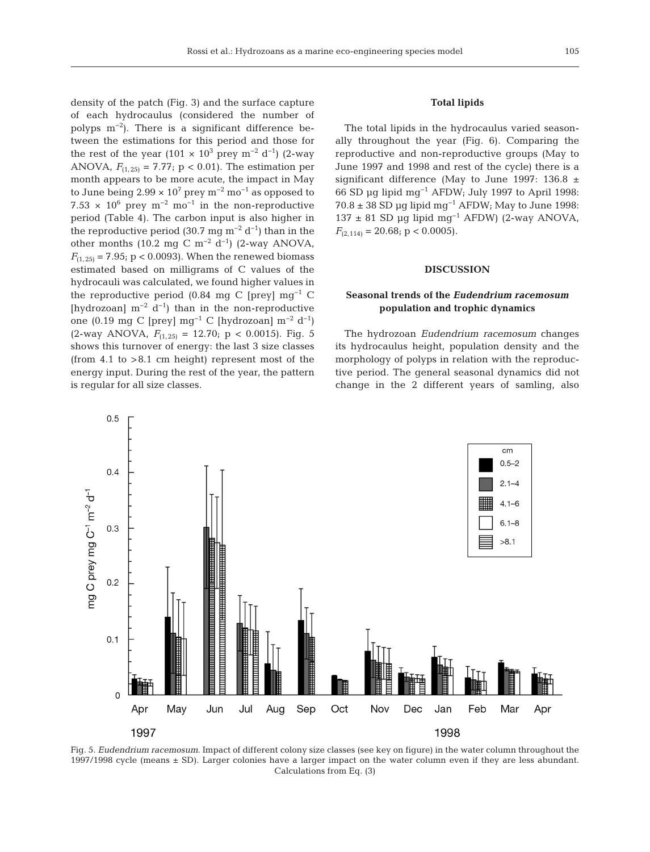density of the patch (Fig. 3) and the surface capture of each hydrocaulus (considered the number of polyps  $m^{-2}$ ). There is a significant difference between the estimations for this period and those for the rest of the year (101 ×  $10^3$  prey m<sup>-2</sup> d<sup>-1</sup>) (2-way ANOVA,  $F_{(1,25)} = 7.77$ ;  $p < 0.01$ ). The estimation per month appears to be more acute, the impact in May to June being  $2.99 \times 10^7$  prey m<sup>-2</sup> mo<sup>-1</sup> as opposed to 7.53  $\times$  10<sup>6</sup> prey m<sup>-2</sup> mo<sup>-1</sup> in the non-reproductive period (Table 4). The carbon input is also higher in the reproductive period (30.7 mg m<sup>-2</sup> d<sup>-1</sup>) than in the other months (10.2 mg C m<sup>-2</sup> d<sup>-1</sup>) (2-way ANOVA,  $F_{(1,25)} = 7.95$ ; p < 0.0093). When the renewed biomass estimated based on milligrams of C values of the hydrocauli was calculated, we found higher values in the reproductive period (0.84 mg C [prey]  $mg^{-1}$  C [hydrozoan]  $m^{-2} d^{-1}$ ] than in the non-reproductive one (0.19 mg C [prey] mg−1 C [hydrozoan] m−2 d−1)  $(2\text{-way ANOVA}, F_{(1,25)} = 12.70; p < 0.0015)$ . Fig. 5 shows this turnover of energy: the last 3 size classes (from  $4.1$  to  $>8.1$  cm height) represent most of the energy input. During the rest of the year, the pattern is regular for all size classes.

# **Total lipids**

The total lipids in the hydrocaulus varied seasonally throughout the year (Fig. 6). Comparing the reproductive and non-reproductive groups (May to June 1997 and 1998 and rest of the cycle) there is a significant difference (May to June 1997: 136.8  $\pm$ 66 SD µg lipid mg−1 AFDW; July 1997 to April 1998:  $70.8 \pm 38$  SD µg lipid mg<sup>-1</sup> AFDW; May to June 1998: 137 ± 81 SD µg lipid mg−1 AFDW) (2-way ANOVA,  $F_{(2,114)} = 20.68; \, \mathrm{p} < 0.0005$ .

## **DISCUSSION**

# **Seasonal trends of the** *Eudendrium racemosum* **population and trophic dynamics**

The hydrozoan *Eudendrium racemosum* changes its hydrocaulus height, population density and the morphology of polyps in relation with the reproductive period. The general seasonal dynamics did not change in the 2 different years of samling, also



Fig. 5. *Eudendrium racemosum*. Impact of different colony size classes (see key on figure) in the water column throughout the 1997/1998 cycle (means ± SD). Larger colonies have a larger impact on the water column even if they are less abundant. Calculations from Eq. (3)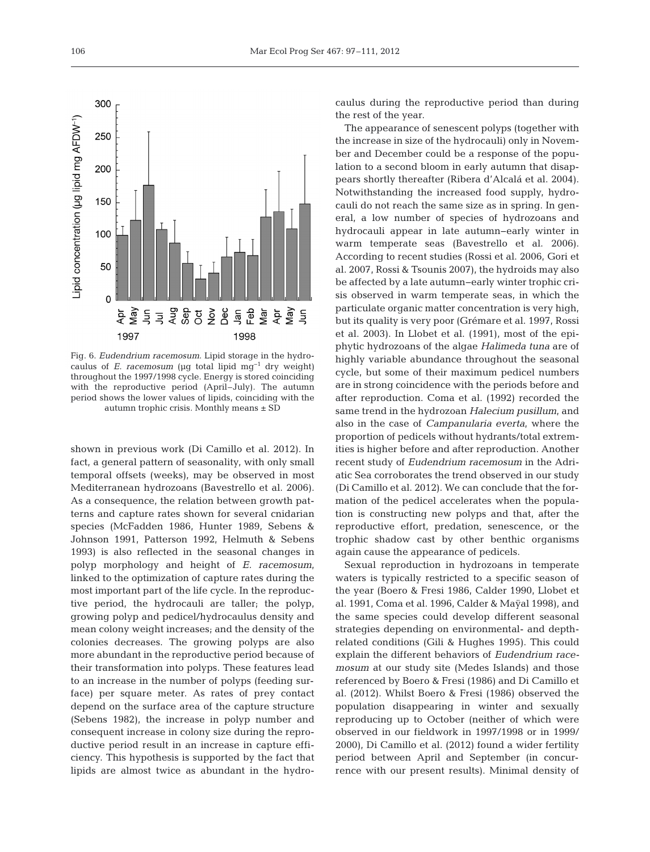

Fig. 6. *Eudendrium racemosum*. Lipid storage in the hydrocaulus of *E. racemosum* (µg total lipid mg−1 dry weight) throughout the 1997/1998 cycle. Energy is stored coinciding with the reproductive period (April–July). The autumn period shows the lower values of lipids, coinciding with the autumn trophic crisis. Monthly means ± SD

shown in previous work (Di Camillo et al. 2012). In fact, a general pattern of seasonality, with only small temporal offsets (weeks), may be observed in most Mediterranean hydrozoans (Bavestrello et al. 2006). As a consequence, the relation between growth patterns and capture rates shown for several cnidarian species (McFadden 1986, Hunter 1989, Sebens & Johnson 1991, Patterson 1992, Helmuth & Sebens 1993) is also reflected in the seasonal changes in polyp morphology and height of *E. racemosum*, linked to the optimization of capture rates during the most important part of the life cycle. In the reproductive period, the hydrocauli are taller; the polyp, growing polyp and pedicel/hydrocaulus density and mean colony weight increases; and the density of the colonies decreases. The growing polyps are also more abundant in the reproductive period because of their transformation into polyps. These features lead to an increase in the number of polyps (feeding surface) per square meter. As rates of prey contact depend on the surface area of the capture structure (Sebens 1982), the increase in polyp number and consequent increase in colony size during the reproductive period result in an increase in capture efficiency. This hypothesis is supported by the fact that lipids are almost twice as abundant in the hydrocaulus during the reproductive period than during the rest of the year.

The appearance of senescent polyps (together with the increase in size of the hydrocauli) only in November and December could be a response of the population to a second bloom in early autumn that disappears shortly thereafter (Ribera d'Alcalá et al. 2004). Notwithstanding the increased food supply, hydrocauli do not reach the same size as in spring. In general, a low number of species of hydrozoans and hydrocauli appear in late autumn−early winter in warm temperate seas (Bavestrello et al. 2006). According to recent studies (Rossi et al. 2006, Gori et al. 2007, Rossi & Tsounis 2007), the hydroids may also be affected by a late autumn−early winter trophic crisis observed in warm temperate seas, in which the particulate organic matter concentration is very high, but its quality is very poor (Grémare et al. 1997, Rossi et al. 2003). In Llobet et al. (1991), most of the epiphytic hydrozoans of the algae *Halimeda tuna* are of highly variable abundance throughout the seasonal cycle, but some of their maximum pedicel numbers are in strong coincidence with the periods before and after reproduction. Coma et al. (1992) recorded the same trend in the hydrozoan *Halecium pusillum*, and also in the case of *Campanularia everta*, where the proportion of pedicels without hydrants/total extremities is higher before and after reproduction. Another recent study of *Eudendrium racemosum* in the Adriatic Sea corroborates the trend observed in our study (Di Camillo et al. 2012). We can conclude that the formation of the pedicel accelerates when the population is constructing new polyps and that, after the reproductive effort, predation, senescence, or the trophic shadow cast by other benthic organisms again cause the appearance of pedicels.

Sexual reproduction in hydrozoans in temperate waters is typically restricted to a specific season of the year (Boero & Fresi 1986, Calder 1990, Llobet et al. 1991, Coma et al. 1996, Calder & Maÿal 1998), and the same species could develop different seasonal strategies depending on environmental- and depthrelated conditions (Gili & Hughes 1995). This could explain the different behaviors of *Eudendrium racemosum* at our study site (Medes Islands) and those referenced by Boero & Fresi (1986) and Di Camillo et al. (2012). Whilst Boero & Fresi (1986) observed the population disappearing in winter and sexually reproducing up to October (neither of which were observed in our fieldwork in 1997/1998 or in 1999/ 2000), Di Camillo et al. (2012) found a wider fertility period between April and September (in concurrence with our present results). Minimal density of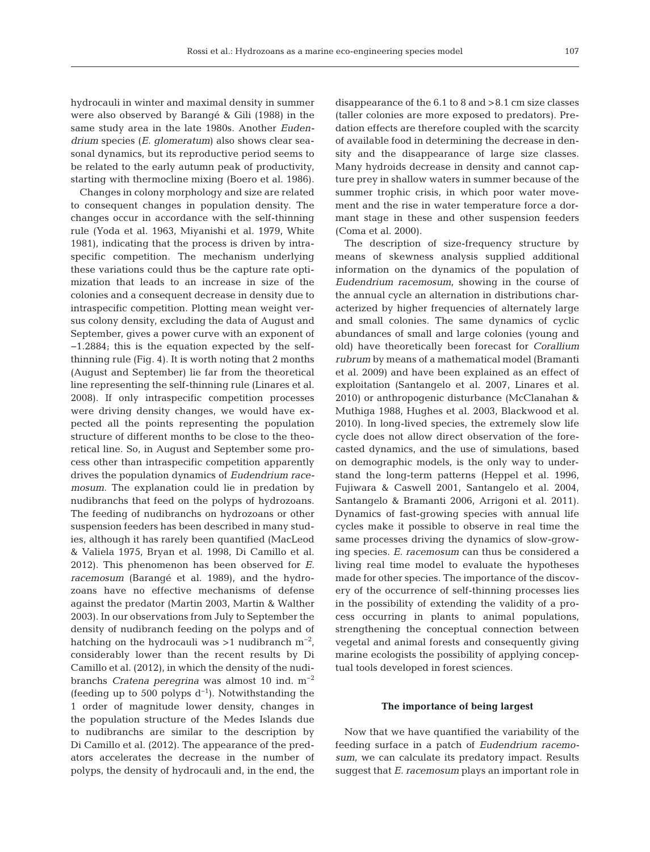hydrocauli in winter and maximal density in summer were also observed by Barangé & Gili (1988) in the same study area in the late 1980s. Another *Eudendrium* species (*E. glomeratum*) also shows clear seasonal dynamics, but its reproductive period seems to be related to the early autumn peak of productivity, starting with thermocline mixing (Boero et al. 1986).

Changes in colony morphology and size are related to consequent changes in population density. The changes occur in accordance with the self-thinning rule (Yoda et al. 1963, Miyanishi et al. 1979, White 1981), indicating that the process is driven by intraspecific competition. The mechanism underlying these variations could thus be the capture rate optimization that leads to an increase in size of the colonies and a consequent decrease in density due to intraspecific competition. Plotting mean weight versus colony density, excluding the data of August and September, gives a power curve with an exponent of −1.2884; this is the equation expected by the selfthinning rule (Fig. 4). It is worth noting that 2 months (August and September) lie far from the theoretical line representing the self-thinning rule (Linares et al. 2008). If only intraspecific competition processes were driving density changes, we would have expected all the points representing the population structure of different months to be close to the theoretical line. So, in August and September some process other than intraspecific competition apparently drives the population dynamics of *Eudendrium racemosum*. The explanation could lie in predation by nudibranchs that feed on the polyps of hydrozoans. The feeding of nudibranchs on hydrozoans or other suspension feeders has been described in many studies, although it has rarely been quantified (MacLeod & Valiela 1975, Bryan et al. 1998, Di Camillo et al. 2012). This phenomenon has been observed for *E. racemosum* (Barangé et al. 1989), and the hydrozoans have no effective mechanisms of defense against the predator (Martin 2003, Martin & Walther 2003). In our observations from July to September the density of nudibranch feeding on the polyps and of hatching on the hydrocauli was >1 nudibranch  $m^{-2}$ , considerably lower than the recent results by Di Camillo et al. (2012), in which the density of the nudibranchs *Cratena peregrina* was almost 10 ind. m−2 (feeding up to 500 polyps  $d^{-1}$ ). Notwithstanding the 1 order of magnitude lower density, changes in the population structure of the Medes Islands due to nudibranchs are similar to the description by Di Camillo et al. (2012). The appearance of the predators accelerates the decrease in the number of polyps, the density of hydrocauli and, in the end, the

disappearance of the 6.1 to 8 and >8.1 cm size classes (taller colonies are more exposed to predators). Predation effects are therefore coupled with the scarcity of available food in determining the decrease in density and the disappearance of large size classes. Many hydroids decrease in density and cannot capture prey in shallow waters in summer because of the summer trophic crisis, in which poor water movement and the rise in water temperature force a dormant stage in these and other suspension feeders (Coma et al. 2000).

The description of size-frequency structure by means of skewness analysis supplied additional information on the dynamics of the population of *Eudendrium racemosum*, showing in the course of the annual cycle an alternation in distributions characterized by higher frequencies of alternately large and small colonies. The same dynamics of cyclic abundances of small and large colonies (young and old) have theoretically been forecast for *Corallium rubrum* by means of a mathematical model (Bramanti et al. 2009) and have been explained as an effect of exploitation (Santangelo et al. 2007, Linares et al. 2010) or anthropogenic disturbance (McClanahan & Muthiga 1988, Hughes et al. 2003, Blackwood et al. 2010). In long-lived species, the extremely slow life cycle does not allow direct observation of the forecasted dynamics, and the use of simulations, based on demographic models, is the only way to understand the long-term patterns (Heppel et al. 1996, Fujiwara & Caswell 2001, Santangelo et al. 2004, Santangelo & Bramanti 2006, Arrigoni et al. 2011). Dynamics of fast-growing species with annual life cycles make it possible to observe in real time the same processes driving the dynamics of slow-growing species. *E. racemosum* can thus be considered a living real time model to evaluate the hypotheses made for other species. The importance of the discovery of the occurrence of self-thinning processes lies in the possibility of extending the validity of a process occurring in plants to animal populations, strengthening the conceptual connection between vegetal and animal forests and consequently giving marine ecologists the possibility of applying conceptual tools developed in forest sciences.

# **The importance of being largest**

Now that we have quantified the variability of the feeding surface in a patch of *Eudendrium racemosum*, we can calculate its predatory impact. Results suggest that *E. racemosum* plays an important role in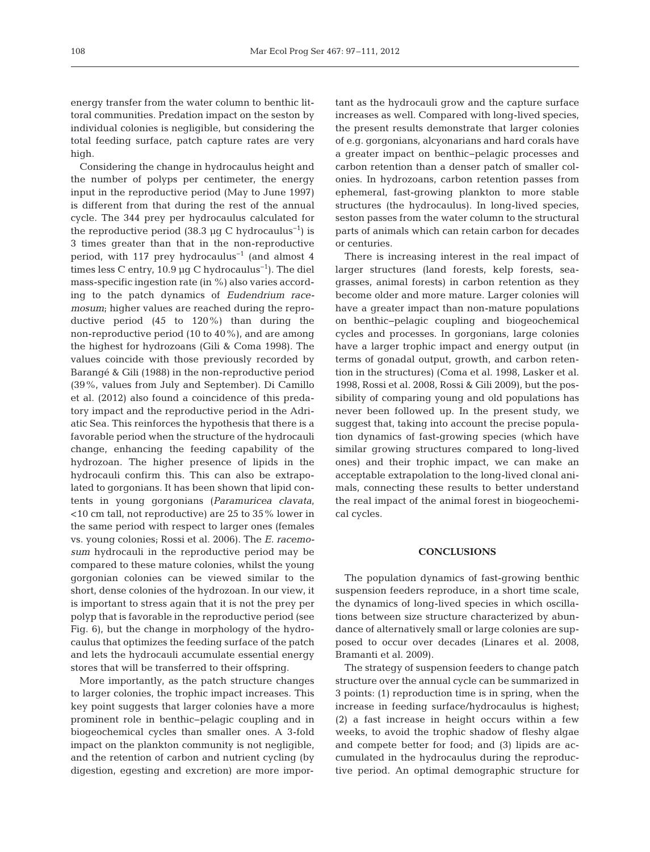energy transfer from the water column to benthic littoral communities. Predation impact on the seston by individual colonies is negligible, but considering the total feeding surface, patch capture rates are very high.

Considering the change in hydrocaulus height and the number of polyps per centimeter, the energy input in the reproductive period (May to June 1997) is different from that during the rest of the annual cycle. The 344 prey per hydrocaulus calculated for the reproductive period (38.3 µg C hydrocaulus<sup>-1</sup>) is 3 times greater than that in the non-reproductive period, with 117 prey hydrocaulus−1 (and almost 4 times less C entry, 10.9 µg C hydrocaulus−1). The diel mass-specific ingestion rate (in %) also varies according to the patch dynamics of *Eudendrium race mosum*; higher values are reached during the reproductive period (45 to 120%) than during the non-reproductive period (10 to 40%), and are among the highest for hydrozoans (Gili & Coma 1998). The values coincide with those previously recorded by Barangé & Gili (1988) in the non-reproductive period (39%, values from July and September). Di Camillo et al. (2012) also found a coincidence of this predatory impact and the reproductive period in the Adriatic Sea. This reinforces the hypothesis that there is a favorable period when the structure of the hydrocauli change, enhancing the feeding capability of the hydrozoan. The higher presence of lipids in the hydrocauli confirm this. This can also be extrapolated to gorgonians. It has been shown that lipid contents in young gorgonians (*Paramuricea clavata*, <10 cm tall, not reproductive) are 25 to 35% lower in the same period with respect to larger ones (females vs. young colonies; Rossi et al. 2006). The *E. racemosum* hydrocauli in the reproductive period may be compared to these mature colonies, whilst the young gorgonian colonies can be viewed similar to the short, dense colonies of the hydrozoan. In our view, it is important to stress again that it is not the prey per polyp that is favorable in the reproductive period (see Fig. 6), but the change in morphology of the hydrocaulus that optimizes the feeding surface of the patch and lets the hydrocauli accumulate essential energy stores that will be transferred to their offspring.

More importantly, as the patch structure changes to larger colonies, the trophic impact increases. This key point suggests that larger colonies have a more prominent role in benthic−pelagic coupling and in biogeochemical cycles than smaller ones. A 3-fold impact on the plankton community is not negligible, and the retention of carbon and nutrient cycling (by digestion, egesting and excretion) are more important as the hydrocauli grow and the capture surface increases as well. Compared with long-lived species, the present results demonstrate that larger colonies of e.g. gorgonians, alcyonarians and hard corals have a greater impact on benthic− pelagic processes and carbon retention than a denser patch of smaller colonies. In hydrozoans, carbon retention passes from ephemeral, fast-growing plankton to more stable structures (the hydrocaulus). In long-lived species, seston passes from the water column to the structural parts of animals which can retain carbon for decades or centuries.

There is increasing interest in the real impact of larger structures (land forests, kelp forests, seagrasses, animal forests) in carbon retention as they become older and more mature. Larger colonies will have a greater impact than non-mature populations on benthic−pelagic coupling and biogeochemical cycles and processes. In gorgonians, large colonies have a larger trophic impact and energy output (in terms of gonadal output, growth, and carbon retention in the structures) (Coma et al. 1998, Lasker et al. 1998, Rossi et al. 2008, Rossi & Gili 2009), but the possibility of comparing young and old populations has never been followed up. In the present study, we suggest that, taking into account the precise population dynamics of fast-growing species (which have similar growing structures compared to long-lived ones) and their trophic impact, we can make an acceptable extrapolation to the long-lived clonal animals, connecting these results to better understand the real impact of the animal forest in biogeochemical cycles.

## **CONCLUSIONS**

The population dynamics of fast-growing benthic suspension feeders reproduce, in a short time scale, the dynamics of long-lived species in which oscillations between size structure characterized by abundance of alternatively small or large colonies are supposed to occur over decades (Linares et al. 2008, Bramanti et al. 2009).

The strategy of suspension feeders to change patch structure over the annual cycle can be summarized in 3 points: (1) reproduction time is in spring, when the increase in feeding surface/hydrocaulus is highest; (2) a fast increase in height occurs within a few weeks, to avoid the trophic shadow of fleshy algae and compete better for food; and (3) lipids are accumulated in the hydrocaulus during the reproductive period. An optimal demographic structure for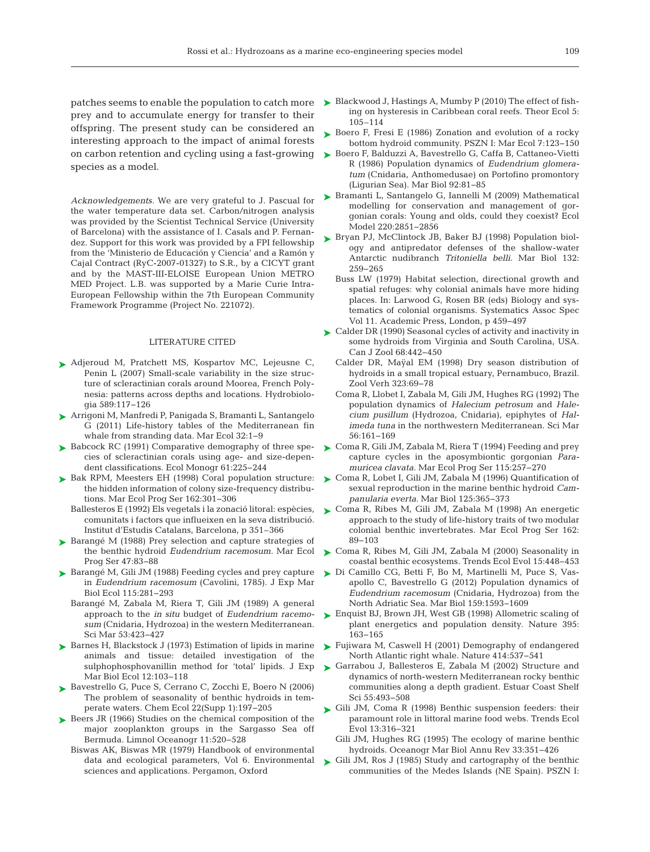prey and to accumulate energy for transfer to their offspring. The present study can be considered an interesting approach to the impact of animal forests on carbon retention and cycling using a fast-growing species as a model.

*Acknowledgements.* We are very grateful to J. Pascual for the water temperature data set. Carbon/nitrogen analysis was provided by the Scientist Technical Service (University of Barcelona) with the assistance of I. Casals and P. Fernandez. Support for this work was provided by a FPI fellowship from the 'Ministerio de Educación y Ciencia' and a Ramón y Cajal Contract (RyC-2007-01327) to S.R., by a CICYT grant and by the MAST-III-ELOISE European Union METRO MED Project. L.B. was supported by a Marie Curie Intra-European Fellowship within the 7th European Community Framework Programme (Project No. 221072).

#### LITERATURE CITED

- ▶ Adjeroud M, Pratchett MS, Kospartov MC, Lejeusne C, Penin L (2007) Small-scale variability in the size structure of scleractinian corals around Moorea, French Polynesia: patterns across depths and locations. Hydrobiologia 589: 117−126
- Arrigoni M, Manfredi P, Panigada S, Bramanti L, Santangelo ➤ G (2011) Life-history tables of the Mediterranean fin whale from stranding data. Mar Ecol 32:1-9
- ► Babcock RC (1991) Comparative demography of three species of scleractinian corals using age- and size-dependent classifications. Ecol Monogr 61:225-244
- ▶ Bak RPM, Meesters EH (1998) Coral population structure: the hidden information of colony size-frequency distributions. Mar Ecol Prog Ser 162: 301−306
	- Ballesteros E (1992) Els vegetals i la zonació litoral: espècies, comunitats i factors que influeixen en la seva distribució. Institut d'Estudis Catalans, Barcelona, p 351–366
- ▶ Barangé M (1988) Prey selection and capture strategies of the benthic hydroid *Eudendrium racemosum.* Mar Ecol Prog Ser 47:83-88
- ► Barangé M, Gili JM (1988) Feeding cycles and prey capture in *Eudendrium racemosum* (Cavolini, 1785). J Exp Mar Biol Ecol 115:281-293
	- Barangé M, Zabala M, Riera T, Gili JM (1989) A general approach to the *in situ* budget of *Eudendrium racemosum* (Cnidaria, Hydrozoa) in the western Mediterranean. Sci Mar 53:423-427
- ▶ Barnes H, Blackstock J (1973) Estimation of lipids in marine animals and tissue: detailed investigation of the sulphophosphovanillin method for 'total' lipids. J Exp Mar Biol Ecol 12: 103−118
- ► Bavestrello G, Puce S, Cerrano C, Zocchi E, Boero N (2006) The problem of seasonality of benthic hydroids in temperate waters. Chem Ecol 22(Supp 1): 197−205
- ▶ Beers JR (1966) Studies on the chemical composition of the major zooplankton groups in the Sargasso Sea off Bermuda. Limnol Oceanogr 11:520-528
	- Biswas AK, Biswas MR (1979) Handbook of environmental data and ecological parameters, Vol 6. Environmental sciences and applications. Pergamon, Oxford
- patches seems to enable the population to catch more > Blackwood J, Hastings A, Mumby P (2010) The effect of fishing on hysteresis in Caribbean coral reefs. Theor Ecol 5: 105–114
	- ► Boero F, Fresi E (1986) Zonation and evolution of a rocky bottom hydroid community. PSZN I: Mar Ecol 7:123-150
	- ► Boero F, Balduzzi A, Bavestrello G, Caffa B, Cattaneo-Vietti R (1986) Population dynamics of *Eudendrium glomeratum* (Cnidaria, Anthomedusae) on Portofino promontory (Ligurian Sea). Mar Biol 92: 81−85
	- Bramanti L, Santangelo G, Iannelli M (2009) Mathematical ➤ modelling for conservation and management of gorgonian corals:Young and olds, could they coexist? Ecol Model 220:2851-2856
	- ► Bryan PJ, McClintock JB, Baker BJ (1998) Population biology and antipredator defenses of the shallow-water Antarctic nudibranch *Tritoniella belli.* Mar Biol 132: 259−265
		- Buss LW (1979) Habitat selection, directional growth and spatial refuges:why colonial animals have more hiding places. In:Larwood G, Rosen BR (eds) Biology and systematics of colonial organisms. Systematics Assoc Spec Vol 11. Academic Press, London, p 459−497
	- Calder DR (1990) Seasonal cycles of activity and inactivity in ➤ some hydroids from Virginia and South Carolina, USA. Can J Zool 68:442-450
		- Calder DR, Maÿal EM (1998) Dry season distribution of hydroids in a small tropical estuary, Pernambuco, Brazil. Zool Verh 323:69-78
		- Coma R, Llobet I, Zabala M, Gili JM, Hughes RG (1992) The population dynamics of *Halecium petrosum* and *Halecium pusillum* (Hydrozoa, Cnidaria), epiphytes of *Halimeda tuna* in the northwestern Mediterranean. Sci Mar 56: 161−169
	- Coma R, Gili JM, Zabala M, Riera T (1994) Feeding and prey ➤ capture cycles in the aposymbiontic gorgonian *Paramuricea clavata.* Mar Ecol Prog Ser 115:257-270
	- ► Coma R, Lobet I, Gili JM, Zabala M (1996) Quantification of sexual reproduction in the marine benthic hydroid *Campanularia everta.* Mar Biol 125: 365−373
	- Coma R, Ribes M, Gili JM, Zabala M (1998) An energetic ➤ approach to the study of life-history traits of two modular colonial benthic invertebrates. Mar Ecol Prog Ser 162: 89−103
	- Coma R, Ribes M, Gili JM, Zabala M (2000) Seasonality in ➤ coastal benthic ecosystems. Trends Ecol Evol 15: 448−453
	- Di Camillo CG, Betti F, Bo M, Martinelli M, Puce S, Vas-➤ apollo C, Bavestrello G (2012) Population dynamics of *Eudendrium racemosum* (Cnidaria, Hydrozoa) from the North Adriatic Sea. Mar Biol 159: 1593−1609
	- ► Enquist BJ, Brown JH, West GB (1998) Allometric scaling of plant energetics and population density. Nature 395: 163−165
	- ► Fujiwara M, Caswell H (2001) Demography of endangered North Atlantic right whale. Nature 414:537-541
	- ► Garrabou J, Ballesteros E, Zabala M (2002) Structure and dynamics of north-western Mediterranean rocky benthic communities along a depth gradient. Estuar Coast Shelf Sci 55: 493−508
	- $\blacktriangleright$  Gili JM, Coma R (1998) Benthic suspension feeders: their paramount role in littoral marine food webs. Trends Ecol Evol 13: 316−321
		- Gili JM, Hughes RG (1995) The ecology of marine benthic hydroids. Oceanogr Mar Biol Annu Rev 33: 351−426
	- ► Gili JM, Ros J (1985) Study and cartography of the benthic communities of the Medes Islands (NE Spain). PSZN I: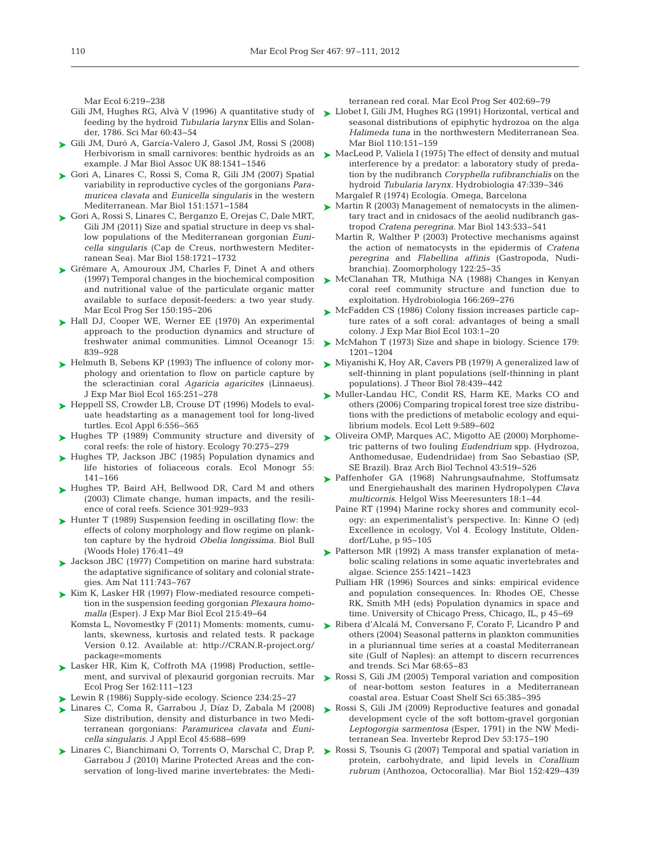Mar Ecol 6:219-238

- feeding by the hydroid *Tubularia larynx* Ellis and Solander, 1786. Sci Mar 60:43-54
- Gili JM, Duró A, García-Valero J, Gasol JM, Rossi S (2008) ➤ Herbivorism in small carnivores: benthic hydroids as an example. J Mar Biol Assoc UK 88: 1541−1546
- ► Gori A, Linares C, Rossi S, Coma R, Gili JM (2007) Spatial variability in reproductive cycles of the gorgonians *Paramuricea clavata* and *Eunicella singularis* in the western Mediterranean. Mar Biol 151: 1571−1584
- ► Gori A, Rossi S, Linares C, Berganzo E, Orejas C, Dale MRT, Gili JM (2011) Size and spatial structure in deep vs shallow populations of the Mediterranean gorgonian *Eunicella singularis* (Cap de Creus, northwestern Mediterranean Sea). Mar Biol 158: 1721−1732
- ► Grémare A, Amouroux JM, Charles F, Dinet A and others (1997) Temporal changes in the biochemical composition and nutritional value of the particulate organic matter available to surface deposit-feeders: a two year study. Mar Ecol Prog Ser 150: 195−206
- ► Hall DJ, Cooper WE, Werner EE (1970) An experimental approach to the production dynamics and structure of freshwater animal communities. Limnol Oceanogr 15: 839−928
- ► Helmuth B, Sebens KP (1993) The influence of colony morphology and orientation to flow on particle capture by the scleractinian coral *Agaricia agaricites* (Linnaeus). J Exp Mar Biol Ecol 165: 251−278
- ► Heppell SS, Crowder LB, Crouse DT (1996) Models to evaluate headstarting as a management tool for long-lived turtles. Ecol Appl 6:556–565
- ▶ Hughes TP (1989) Community structure and diversity of coral reefs: the role of history. Ecology 70:275−279
- ► Hughes TP, Jackson JBC (1985) Population dynamics and life histories of foliaceous corals. Ecol Monogr 55: 141−166
- ▶ Hughes TP, Baird AH, Bellwood DR, Card M and others (2003) Climate change, human impacts, and the resilience of coral reefs. Science 301:929-933
- ► Hunter T (1989) Suspension feeding in oscillating flow: the effects of colony morphology and flow regime on plankton capture by the hydroid *Obelia longissima.* Biol Bull (Woods Hole) 176:41-49
- ▶ Jackson JBC (1977) Competition on marine hard substrata: the adaptative significance of solitary and colonial strategies. Am Nat 111:743-767
- ► Kim K, Lasker HR (1997) Flow-mediated resource competition in the suspension feeding gorgonian *Plexaura homomalla* (Esper). J Exp Mar Biol Ecol 215:49-64
	- Komsta L, Novomestky F (2011) Moments: moments, cumulants, skewness, kurtosis and related tests. R package Version 0.12. Available at: http://CRAN.R-project.org/ package=moments
- ► Lasker HR, Kim K, Coffroth MA (1998) Production, settlement, and survival of plexaurid gorgonian recruits. Mar Ecol Prog Ser 162: 111−123
- ► Lewin R (1986) Supply-side ecology. Science 234:25-27
- Linares C, Coma R, Garrabou J, Díaz D, Zabala M (2008) ➤ Size distribution, density and disturbance in two Mediterranean gorgonians: *Paramuricea clavata* and *Eunicella singularis.* J Appl Ecol 45: 688−699
- ► Linares C, Bianchimani O, Torrents O, Marschal C, Drap P, Garrabou J (2010) Marine Protected Areas and the conservation of long-lived marine invertebrates: the Medi-

terranean red coral. Mar Ecol Prog Ser 402:69-79

Gili JM, Hughes RG, Alvà V (1996) A quantitative study of  $\blacktriangleright$  Llobet I, Gili JM, Hughes RG (1991) Horizontal, vertical and seasonal distributions of epiphytic hydrozoa on the alga *Halimeda tuna* in the northwestern Mediterranean Sea. Mar Biol 110:151–159

> MacLeod P, Valiela I (1975) The effect of density and mutual ➤ interference by a predator: a laboratory study of predation by the nudibranch *Coryphella rufibranchialis* on the hydroid *Tubularia larynx.* Hydrobiologia 47: 339−346 Margalef R (1974) Ecología. Omega, Barcelona

- ► Martin R (2003) Management of nematocysts in the alimentary tract and in cnidosacs of the aeolid nudibranch gastropod *Cratena peregrina.* Mar Biol 143: 533−541
	- Martin R, Walther P (2003) Protective mechanisms against the action of nematocysts in the epidermis of *Cratena peregrina* and *Flabellina affinis* (Gastropoda, Nudibranchia). Zoomorphology 122:25-35
- McClanahan TR, Muthiga NA (1988) Changes in Kenyan ➤ coral reef community structure and function due to exploitation. Hydrobiologia 166:269-276
- ► McFadden CS (1986) Colony fission increases particle capture rates of a soft coral: advantages of being a small colony. J Exp Mar Biol Ecol 103: 1−20
- ► McMahon T (1973) Size and shape in biology. Science 179: 1201−1204
- ► Miyanishi K, Hoy AR, Cavers PB (1979) A generalized law of self-thinning in plant populations (self-thinning in plant populations). J Theor Biol 78:439-442
- ▶ Muller-Landau HC, Condit RS, Harm KE, Marks CO and others (2006) Comparing tropical forest tree size distributions with the predictions of metabolic ecology and equilibrium models. Ecol Lett 9: 589−602
- ▶ Oliveira OMP, Marques AC, Migotto AE (2000) Morphometric patterns of two fouling *Eudendrium* spp. (Hydrozoa, Anthomedusae, Eudendriidae) from Sao Sebastiao (SP, SE Brazil). Braz Arch Biol Technol 43:519-526
- ▶ Paffenhofer GA (1968) Nahrungsaufnahme, Stoffumsatz und Energiehaushalt des marinen Hydropolypen *Clava multicornis*. Helgol Wiss Meeresunters 18: 1−44
	- Paine RT (1994) Marine rocky shores and community ecology: an experimentalist's perspective. In: Kinne O (ed) Excellence in ecology, Vol 4. Ecology Institute, Oldendorf/Luhe, p 95-105
- ▶ Patterson MR (1992) A mass transfer explanation of metabolic scaling relations in some aquatic invertebrates and algae. Science 255: 1421−1423
	- Pulliam HR (1996) Sources and sinks: empirical evidence and population consequences. In: Rhodes OE, Chesse RK, Smith MH (eds) Population dynamics in space and time. University of Chicago Press, Chicago, IL, p 45−69
- Ribera d'Alcalá M, Conversano F, Corato F, Licandro P and ➤ others (2004) Seasonal patterns in plankton communities in a pluriannual time series at a coastal Mediterranean site (Gulf of Naples): an attempt to discern recurrences and trends. Sci Mar 68:65–83
- ► Rossi S, Gili JM (2005) Temporal variation and composition of near-bottom seston features in a Mediterranean coastal area. Estuar Coast Shelf Sci 65: 385−395
- ► Rossi S, Gili JM (2009) Reproductive features and gonadal development cycle of the soft bottom-gravel gorgonian *Leptogorgia sarmentosa* (Esper, 1791) in the NW Mediterranean Sea. Invertebr Reprod Dev 53: 175−190
- ▶ Rossi S, Tsounis G (2007) Temporal and spatial variation in protein, carbohydrate, and lipid levels in *Corallium rubrum* (Anthozoa, Octocorallia). Mar Biol 152: 429−439